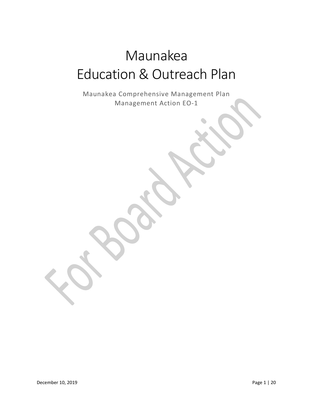# Maunakea Education & Outreach Plan

Maunakea Comprehensive Management Plan Management Action EO-1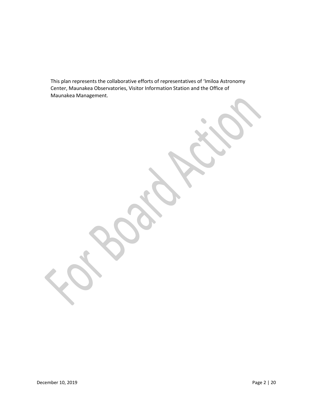This plan represents the collaborative efforts of representatives of ʻImiloa Astronomy Center, Maunakea Observatories, Visitor Information Station and the Office of Maunakea Management.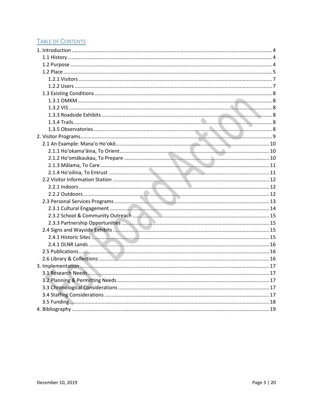# **TABLE OF CONTENTS**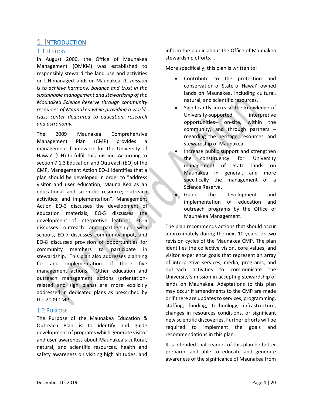# <span id="page-3-0"></span>1. INTRODUCTION

## <span id="page-3-1"></span>1.1 HISTORY

In August 2000, the Office of Maunakea Management (OMKM) was established to responsibly steward the land use and activities on UH managed lands on Maunakea. *Its mission is to achieve harmony, balance and trust in the sustainable management and stewardship of the Maunakea Science Reserve through community resources of Maunakea while providing a worldclass center dedicated to education, research and astronomy.* 

The 2009 Maunakea Comprehensive Management Plan (CMP) provides a management framework for the University of Hawai'i (UH) to fulfill this mission. According to section 7.1.3 Education and Outreach (EO) of the CMP, Management Action EO-1 identifies that a plan should be developed in order to "address visitor and user education; Mauna Kea as an educational and scientific resource; outreach activities; and implementation". Management Action EO-3 discusses the development of education materials, EO-5 discusses the development of interpretive features, EO-6 discusses outreach and partnerships with schools, EO-7 discusses community input, and EO-8 discusses provision of opportunities for community members to participate in stewardship. This plan also addresses planning for and implementation of these five management actions. Other education and outreach management actions (orientationrelated and sign plans) are more explicitly addressed in dedicated plans as prescribed by the 2009 CMP.

# <span id="page-3-2"></span>1.2 PURPOSE

The Purpose of the Maunakea Education & Outreach Plan is to identify and guide development of programs which generate visitor and user awareness about Maunakea's cultural, natural, and scientific resources, health and safety awareness on visiting high altitudes, and inform the public about the Office of Maunakea stewardship efforts. .

More specifically, this plan is written to:

- Contribute to the protection and conservation of State of Hawai'i owned lands on Maunakea, including cultural, natural, and scientific resources.
- Significantly increase the knowledge of University-supported interpretive opportunities– on-site, within the community, and through partners – regarding the heritage, resources, and stewardship of Maunakea.
- Increase public support and strengthen the constituency for University management of State lands on Maunakea in general, and more specifically the management of a Science Reserve.
- Guide the development and implementation of education and outreach programs by the Office of Maunakea Management.

The plan recommends actions that should occur approximately during the next 10 years, or two revision cycles of the Maunakea CMP. The plan identifies the collective vision, core values, and visitor experience goals that represent an array of interpretive services, media, programs, and outreach activities to communicate the University's mission in accepting stewardship of lands on Maunakea. Adaptations to this plan may occur if amendments to the CMP are made or if there are updates to services, programming, staffing, funding, technology, infrastructure, changes in resources conditions, or significant new scientific discoveries. Further efforts will be required to implement the goals and recommendations in this plan.

It is intended that readers of this plan be better prepared and able to educate and generate awareness of the significance of Maunakea from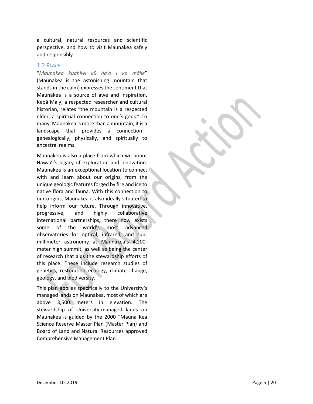a cultural, natural resources and scientific perspective, and how to visit Maunakea safely and responsibly .

# <span id="page-4-0"></span>1.2 PLACE

"*Maunakea kuahiwi kū haʻo I ka mālie*" (Maunakea is the astonishing mountain that stands in the calm) expresses the sentiment that Maunakea is a source of awe and inspiration. Kepā Maly, a respected researcher and cultural historian, relates "the mountain is a respected elder, a spiritual connection to one's gods." To many, Maunakea is more than a mountain; it is a landscape that provides a connection genealogically, physically, and spiritually to ancestral realms.

Maunakea is also a place from which we honor Hawaiʻi's legacy of exploration and innovation. Maunakea is an exceptional location to connect with and learn about our origins, from the unique geologic features forged by fire and ice to native flora and fauna. With this connection to our origins, Maunakea is also ideally situated to help inform our future. Through innovative, progressive, and highly collaborative international partnerships, there now exists some of the world's most advanced observatories for optical, infrared, and sub millimeter astronomy at Maunakea's 4,200 meter high summit , as well as being the center of research that aids the stewardship efforts of this place. These include research studies of genetics, restoration ecology, climate change, geology, and biodiversity.

This plan applies specifically to the University's managed lands on Maunakea, most of which are above 3,500 meters in elevation. The stewardship of University -managed lands on Maunakea is guided by the 2000 "Mauna Kea Science Reserve Master Plan (Master Plan) and Board of Land and Natural Resources approved Comprehensive Management Plan .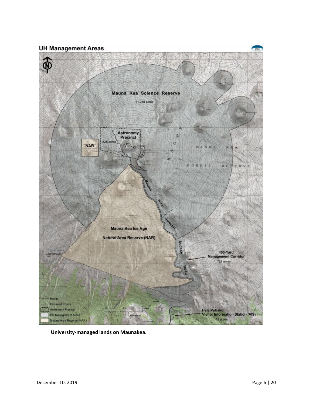**UH Management Areas** Mauna Kea Science Reserve 11,288 acres Astronomy<br>Precinct ž 525 acr  $\circ$ **NAR** MAUNA 税主 OREST RESERVE 陣 **Summit** Mauna Kea Ice Age Natural Area Reserve (NAR) **Acce** 400-Yard<br>Management Corridor 723 acres pads **Unpaved Roads** Hale Pohaku<br>Visitor Information Station (VIS) Astronomy Precinct UH Management Areas 9 acre Natural Area Reserve (NAR)

**University-managed lands on Maunakea.**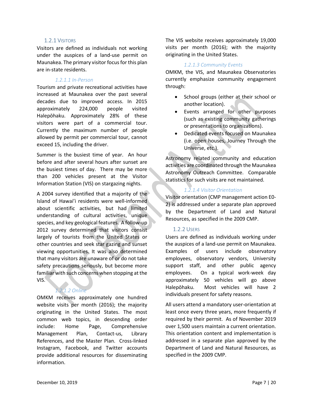#### 1.2.1 VISITORS

<span id="page-6-0"></span>Visitors are defined as individuals not working under the auspices of a land-use permit on Maunakea. The primary visitor focus for this plan are in-state residents.

#### *1.2.1.1 In-Person*

Tourism and private recreational activities have increased at Maunakea over the past several decades due to improved access. In 2015 approximately 224,000 people visited Halepōhaku. Approximately 28% of these visitors were part of a commercial tour. Currently the maximum number of people allowed by permit per commercial tour, cannot exceed 15, including the driver.

Summer is the busiest time of year. An hour before and after several hours after sunset are the busiest times of day. There may be more than 200 vehicles present at the Visitor Information Station (VIS) on stargazing nights.

A 2004 survey identified that a majority of the Island of Hawai'i residents were well-informed about scientific activities, but had limited understanding of cultural activities, unique species, and key geological features. A follow-up 2012 survey determined that visitors consist largely of tourists from the United States or other countries and seek star gazing and sunset viewing opportunities. It was also determined that many visitors are unaware of or do not take safety precautions seriously, but become more familiar with such concerns when stopping at the VIS.

#### *1.2.1.2 Online*

OMKM receives approximately one hundred website visits per month (2016); the majority originating in the United States. The most common web topics, in descending order include: Home Page, Comprehensive Management Plan, Contact-us, Library References, and the Master Plan. Cross-linked Instagram, Facebook, and Twitter accounts provide additional resources for disseminating information.

The VIS website receives approximately 19,000 visits per month (2016); with the majority originating in the United States.

#### *1.2.1.3 Community Events*

OMKM, the VIS, and Maunakea Observatories currently emphasize community engagement through:

- School groups (either at their school or another location).
- Events arranged for other purposes (such as existing community gatherings or presentations to organizations).
- Dedicated events focused on Maunakea (i.e. open houses, Journey Through the Universe, etc.).

Astronomy related community and education activities are coordinated through the Maunakea Astronomy Outreach Committee. Comparable statistics for such visits are not maintained.

#### *1.2.1.4 Visitor Orientation*

Visitor orientation (CMP management action E0- 2) is addressed under a separate plan approved by the Department of Land and Natural Resources, as specified in the 2009 CMP.

#### <span id="page-6-1"></span>1.2.2 USERS

Users are defined as individuals working under the auspices of a land-use permit on Maunakea. Examples of users include observatory employees, observatory vendors, University support staff, and other public agency employees. On a typical work-week day approximately 50 vehicles will go above Halepōhaku. Most vehicles will have 2 individuals present for safety reasons.

All users attend a mandatory user-orientation at least once every three years, more frequently if required by their permit. As of November 2019 over 1,500 users maintain a current orientation. This orientation content and implementation is addressed in a separate plan approved by the Department of Land and Natural Resources, as specified in the 2009 CMP.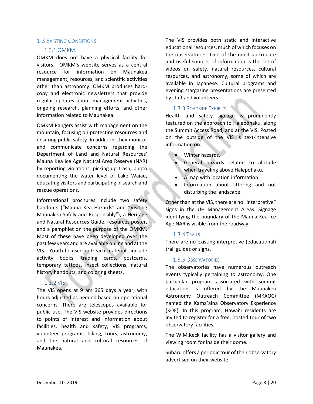### <span id="page-7-1"></span><span id="page-7-0"></span>1.3 EXISTING CONDITIONS

#### 1.3.1 OMKM

OMKM does not have a physical facility for visitors. OMKM's website serves as a central resource for information on Maunakea management, resources, and scientific activities other than astronomy. OMKM produces hardcopy and electronic newsletters that provide regular updates about management activities, ongoing research, planning efforts, and other information related to Maunakea.

OMKM Rangers assist with management on the mountain, focusing on protecting resources and ensuring public safety. In addition, they monitor and communicate concerns regarding the Department of Land and Natural Resources' Mauna Kea Ice Age Natural Area Reserve (NAR) by reporting violations, picking up trash, photo documenting the water level of Lake Waiau, educating visitors and participating in search and rescue operations.

Informational brochures include two safety handouts ("Mauna Kea Hazards" and "Visiting Maunakea Safely and Responsibly"), a Heritage and Natural Resources Guide, resources poster, and a pamphlet on the purpose of the OMKM. Most of these have been developed over the past few years and are available online and at the VIS. Youth-focused outreach materials include activity books, trading cards, postcards, temporary tattoos, insect collections, natural history handouts, and coloring sheets.

# <span id="page-7-2"></span>1.3.2 VIS

The VIS opens at 9 am 365 days a year, with hours adjusted as needed based on operational concerns. There are telescopes available for public use. The VIS website provides directions to points of interest and information about facilities, health and safety, VIS programs, volunteer programs, hiking, tours, astronomy, and the natural and cultural resources of Maunakea.

The VIS provides both static and interactive educational resources, much of which focuses on the observatories. One of the most up-to-date and useful sources of information is the set of videos on safety, natural resources, cultural resources, and astronomy, some of which are available in Japanese. Cultural programs and evening stargazing presentations are presented by staff and volunteers.

# <span id="page-7-3"></span>1.3.3 ROADSIDE EXHIBITS

Health and safety signage is prominently featured on the approach to Halepōhaku, along the Summit Access Road, and at the VIS. Posted on the outside of the VIS is text-intensive information on:

- Winter hazards.
- General hazards related to altitude when traveling above Halepōhaku.
- A map with location information.
- Information about littering and not disturbing the landscape.

Other than at the VIS, there are no "interpretive" signs in the UH Management Areas. Signage identifying the boundary of the Mauna Kea Ice Age NAR is visible from the roadway.

# <span id="page-7-4"></span>1.3.4 TRAILS

There are no existing interpretive (educational) trail guides or signs.

# <span id="page-7-5"></span>1.3.5 OBSERVATORIES

The observatories have numerous outreach events typically pertaining to astronomy. One particular program associated with summit education is offered by the Maunakea Astronomy Outreach Committee (MKAOC) named the Kama'aina Observatory Experience (KOE). In this program, Hawai'i residents are invited to register for a free, hosted tour of two observatory facilities.

The W.M.Keck facility has a visitor gallery and viewing room for inside their dome.

Subaru offers a periodic tour of their observatory advertised on their website.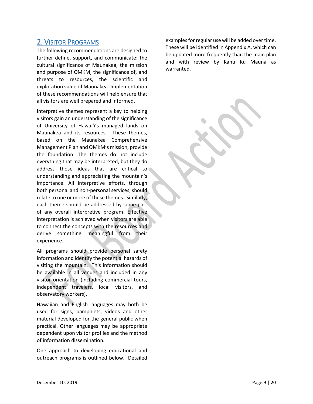# <span id="page-8-0"></span>2. VISITOR PROGRAMS

The following recommendations are designed to further define, support, and communicate: the cultural significance of Maunakea, the mission and purpose of OMKM, the significance of, and threats to resources, the scientific and exploration value of Maunakea. Implementation of these recommendations will help ensure that all visitors are well prepared and informed.

Interpretive themes represent a key to helping visitors gain an understanding of the significance of University of Hawaiʻi's managed lands on Maunakea and its resources. These themes, based on the Maunakea Comprehensive Management Plan and OMKM's mission, provide the foundation. The themes do not include everything that may be interpreted, but they do address those ideas that are critical to understanding and appreciating the mountain's importance. All interpretive efforts, through both personal and non-personal services, should relate to one or more of these themes. Similarly, each theme should be addressed by some part of any overall interpretive program. Effective interpretation is achieved when visitors are able to connect the concepts with the resources and derive something meaningful from their experience.

All programs should provide personal safety information and identify the potential hazards of visiting the mountain. This information should be available in all venues and included in any visitor orientation (including commercial tours, independent travelers, local visitors, and observatory workers).

Hawaiian and English languages may both be used for signs, pamphlets, videos and other material developed for the general public when practical. Other languages may be appropriate dependent upon visitor profiles and the method of information dissemination.

One approach to developing educational and outreach programs is outlined below. Detailed

examples for regular use will be added over time. These will be identified in Appendix A, which can be updated more frequently than the main plan and with review by Kahu Kū Mauna as warranted.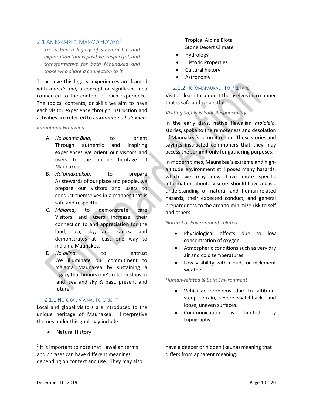## <span id="page-9-0"></span>2.[1](#page-9-3) AN EXAMPLE: MANA'O HO'OKO<sup>1</sup>

*To sustain a legacy of stewardship and exploration that is positive, respectful, and transformative for both Maunakea and those who share a connection to it.*

To achieve this legacy, experiences are framed with *manaʻo nui*, a concept or significant idea connected to the content of each experience. The topics, contents, or skills we aim to have each visitor experience through instruction and activities are referred to as *kumuhana haʻawina*.

#### *Kumuhana Ha'awina*

- A. *Hoʻokamaʻāina*, to orient Through authentic and inspiring experiences we orient our visitors and users to the unique heritage of Maunakea.
- B. *Hoʻomākaukau*, to prepare As stewards of our place and people, we prepare our visitors and users to conduct themselves in a manner that is safe and respectful.
- C. *Mālama*, to demonstrate care Visitors and users increase their connection to and appreciation for the land, sea, sky, and kanaka and demonstrates at least one way to mālama Maunakea.
- D. *Hoʻoilina*, to entrust We illuminate our commitment to mālama Maunakea by sustaining a legacy that honors one's relationships to land, sea and sky & past, present and future.

#### <span id="page-9-1"></span>2.1.1 HOʻOKAMAʻĀINA, TO ORIENT

Local and global visitors are introduced to the unique heritage of Maunakea. Interpretive themes under this goal may include:

• Natural History

Tropical Alpine Biota Stone Desert Climate

- Hydrology
- Historic Properties
- Cultural history
- Astronomy

#### <span id="page-9-2"></span>2.1.2 HOʻOMĀKAUKAU, TO PREPARE

Visitors learn to conduct themselves in a manner that is safe and respectful.

#### *Visiting Safely is Your Responsibility*

In the early days, native Hawaiian *moʻolelo*, stories, spoke to the remoteness and desolation of Maunakea's summit region. These stories and sayings instructed commoners that they may access the summit only for gathering purposes.

In modern times, Maunakea's extreme and highaltitude environment still poses many hazards, which we may now have more specific information about. Visitors should have a basic understanding of natural and human-related hazards, their expected conduct, and general preparedness to the area to minimize risk to self and others.

#### *Natural or Environment-related*

- Physiological effects due to low concentration of oxygen.
- Atmospheric conditions such as very dry air and cold temperatures.
- Low visibility with clouds or inclement weather.

#### *Human-related & Built Environment*

- Vehicular problems due to altitude, steep terrain, severe switchbacks and loose, uneven surfaces.
- Communication is limited by topography.

have a deeper or hidden (kauna) meaning that differs from apparent meaning.

<span id="page-9-3"></span> $<sup>1</sup>$  It is important to note that Hawaiian terms</sup> and phrases can have different meanings depending on context and use. They may also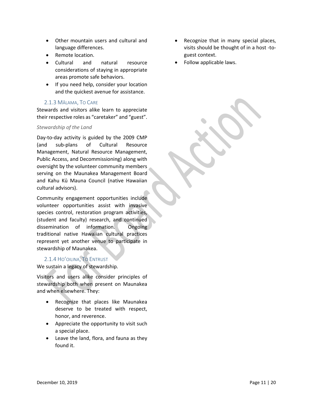- Other mountain users and cultural and language differences.
- Remote location.
- Cultural and natural resource considerations of staying in appropriate areas promote safe behaviors.
- If you need help, consider your location and the quickest avenue for assistance.

## <span id="page-10-0"></span>2.1.3 MĀLAMA, TO CARE

Stewards and visitors alike learn to appreciate their respective roles as "caretaker" and "guest".

#### *Stewardship of the Land*

Day-to-day activity is guided by the 2009 CMP (and sub-plans of Cultural Resource Management, Natural Resource Management, Public Access, and Decommissioning) along with oversight by the volunteer community members serving on the Maunakea Management Board and Kahu Kū Mauna Council (native Hawaiian cultural advisors).

Community engagement opportunities include volunteer opportunities assist with invasive species control, restoration program activities, (student and faculty) research, and continued dissemination of information. Ongoing traditional native Hawaiian cultural practices represent yet another venue to participate in stewardship of Maunakea.

#### <span id="page-10-1"></span>2.1.4 HOʻOILINA, TO ENTRUST

We sustain a legacy of stewardship.

Visitors and users alike consider principles of stewardship both when present on Maunakea and when elsewhere. They:

- Recognize that places like Maunakea deserve to be treated with respect, honor, and reverence.
- Appreciate the opportunity to visit such a special place.
- Leave the land, flora, and fauna as they found it.
- Recognize that in many special places, visits should be thought of in a host -toguest context.
- Follow applicable laws.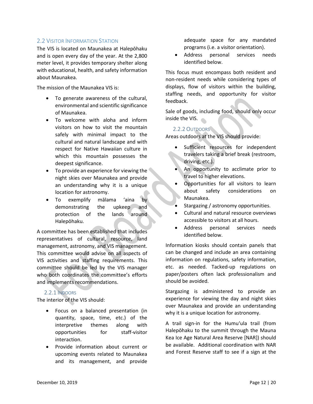# <span id="page-11-0"></span>2.2 VISITOR INFORMATION STATION

The VIS is located on Maunakea at Halepōhaku and is open every day of the year. At the 2,800 meter level, it provides temporary shelter along with educational, health, and safety information about Maunakea.

The mission of the Maunakea VIS is:

- To generate awareness of the cultural, environmental and scientific significance of Maunakea.
- To welcome with aloha and inform visitors on how to visit the mountain safely with minimal impact to the cultural and natural landscape and with respect for Native Hawaiian culture in which this mountain possesses the deepest significance.
- To provide an experience for viewing the night skies over Maunakea and provide an understanding why it is a unique location for astronomy.
- To exemplify mālama ʻaina by demonstrating the upkeep and protection of the lands around Halepōhaku.

A committee has been established that includes representatives of cultural, resource, land management, astronomy, and VIS management. This committee would advise on all aspects of VIS activities and staffing requirements. This committee should be led by the VIS manager who both coordinates the committee's efforts and implements recommendations.

#### <span id="page-11-1"></span>2.2.1 INDOORS

The interior of the VIS should:

- Focus on a balanced presentation (in quantity, space, time, etc.) of the interpretive themes along with opportunities for staff-visitor interaction.
- Provide information about current or upcoming events related to Maunakea and its management, and provide

adequate space for any mandated programs (i.e. a visitor orientation).

• Address personal services needs identified below.

This focus must encompass both resident and non-resident needs while considering types of displays, flow of visitors within the building, staffing needs, and opportunity for visitor feedback.

Sale of goods, including food, should only occur inside the VIS.

#### <span id="page-11-2"></span>2.2.2 OUTDOORS

Areas outdoors at the VIS should provide:

- Sufficient resources for independent travelers taking a brief break (restroom, driving, etc.).
- An opportunity to acclimate prior to travel to higher elevations.
- Opportunities for all visitors to learn about safety considerations on Maunakea.
- Stargazing / astronomy opportunities.
- Cultural and natural resource overviews accessible to visitors at all hours.
- Address personal services needs identified below.

Information kiosks should contain panels that can be changed and include an area containing information on regulations, safety information, etc. as needed. Tacked-up regulations on paper/posters often lack professionalism and should be avoided.

Stargazing is administered to provide an experience for viewing the day and night skies over Maunakea and provide an understanding why it is a unique location for astronomy.

A trail sign-in for the Humuʻula trail (from Halepōhaku to the summit through the Mauna Kea Ice Age Natural Area Reserve [NAR]) should be available. Additional coordination with NAR and Forest Reserve staff to see if a sign at the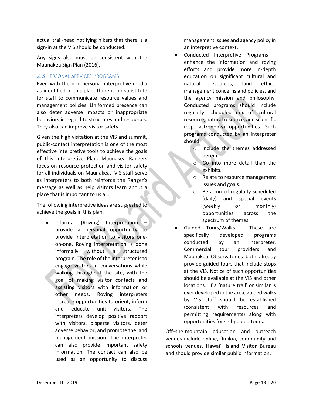actual trail-head notifying hikers that there is a sign-in at the VIS should be conducted.

Any signs also must be consistent with the Maunakea Sign Plan (2016).

#### <span id="page-12-0"></span>2.3 PERSONAL SERVICES PROGRAMS

Even with the non-personal interpretive media as identified in this plan, there is no substitute for staff to communicate resource values and management policies. Uniformed presence can also deter adverse impacts or inappropriate behaviors in regard to structures and resources. They also can improve visitor safety.

Given the high visitation at the VIS and summit, public-contact interpretation is one of the most effective interpretive tools to achieve the goals of this Interpretive Plan. Maunakea Rangers focus on resource protection and visitor safety for all individuals on Maunakea. VIS staff serve as interpreters to both reinforce the Ranger's message as well as help visitors learn about a place that is important to us all.

The following interpretive ideas are suggested to achieve the goals in this plan.

• Informal (Roving) Interpretation – provide a personal opportunity to provide interpretation to visitors oneon-one. Roving interpretation is done informally without a structured program. The role of the interpreter is to engage visitors in conversations while walking throughout the site, with the goal of making visitor contacts and assisting visitors with information or other needs. Roving interpreters increase opportunities to orient, inform and educate unit visitors. The interpreters develop positive rapport with visitors, disperse visitors, deter adverse behavior, and promote the land management mission. The interpreter can also provide important safety information. The contact can also be used as an opportunity to discuss

management issues and agency policy in an interpretive context.

- Conducted Interpretive Programs enhance the information and roving efforts and provide more in-depth education on significant cultural and natural resources, land ethics, management concerns and policies, and the agency mission and philosophy. Conducted programs should include regularly scheduled mix of: cultural resource, natural resource, and scientific (esp. astronomy) opportunities. Such programs conducted by an interpreter should:
	- o Include the themes addressed herein.
	- o Go into more detail than the exhibits.
	- Relate to resource management issues and goals.
	- o Be a mix of regularly scheduled (daily) and special events (weekly or monthly) opportunities across the spectrum of themes.
- Guided Tours/Walks These are specifically developed programs conducted by an interpreter. Commercial tour providers and Maunakea Observatories both already provide guided tours that include stops at the VIS. Notice of such opportunities should be available at the VIS and other locations. If a 'nature trail' or similar is ever developed in the area, guided walks by VIS staff should be established (consistent with resources and permitting requirements) along with opportunities for self-guided tours.

Off–the-mountain education and outreach venues include online, ʻImiloa, community and schools venues, Hawai'i Island Visitor Bureau and should provide similar public information.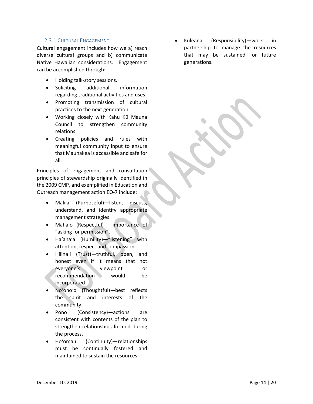#### <span id="page-13-0"></span>2.3.1 CULTURAL ENGAGEMENT

Cultural engagement includes how we a) reach diverse cultural groups and b) communicate Native Hawaiian considerations. Engagement can be accomplished through:

- Holding talk-story sessions.
- Soliciting additional information regarding traditional activities and uses.
- Promoting transmission of cultural practices to the next generation.
- Working closely with Kahu Kū Mauna Council to strengthen community relations
- Creating policies and rules with meaningful community input to ensure that Maunakea is accessible and safe for all.

Principles of engagement and consultation principles of stewardship originally identified in the 2009 CMP, and exemplified in Education and Outreach management action EO-7 include:

- Mākia (Purposeful)—listen, discuss, understand, and identify appropriate management strategies.
- Mahalo (Respectful) —importance of "asking for permission".
- Ha'aha'a (Humility)—"listening" with attention, respect and compassion.
- Hilina'i (Trust)—truthful, open, and honest even if it means that not everyone's viewpoint or recommendation would be incorporated
- No'ono'o (Thoughtful)—best reflects the spirit and interests of the community.
- Pono (Consistency)—actions are consistent with contents of the plan to strengthen relationships formed during the process.
- Ho'omau (Continuity)—relationships must be continually fostered and maintained to sustain the resources.

• Kuleana (Responsibility)—work in partnership to manage the resources that may be sustained for future generations.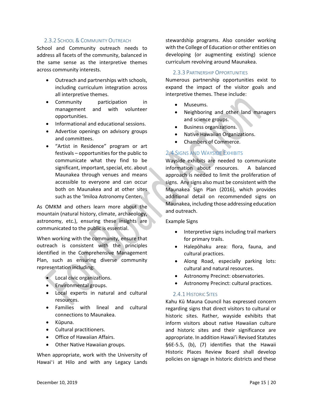### <span id="page-14-0"></span>2.3.2 SCHOOL & COMMUNITY OUTREACH

School and Community outreach needs to address all facets of the community, balanced in the same sense as the interpretive themes across community interests.

- Outreach and partnerships with schools, including curriculum integration across all interpretive themes.
- Community participation in management and with volunteer opportunities.
- Informational and educational sessions.
- Advertise openings on advisory groups and committees.
- "Artist in Residence" program or art festivals – opportunities for the public to communicate what they find to be significant, important, special, etc. about Maunakea through venues and means accessible to everyone and can occur both on Maunakea and at other sites such as the ʻImiloa Astronomy Center.

As OMKM and others learn more about the mountain (natural history, climate, archaeology, astronomy, etc.), ensuring these insights are communicated to the public is essential.

When working with the community, ensure that outreach is consistent with the principles identified in the Comprehensive Management Plan, such as ensuring diverse community representation including:

- Local civic organizations.
- Environmental groups.
- Local experts in natural and cultural resources.
- Families with lineal and cultural connections to Maunakea.
- Kūpuna.
- Cultural practitioners.
- Office of Hawaiian Affairs.
- Other Native Hawaiian groups.

When appropriate, work with the University of Hawai'i at Hilo and with any Legacy Lands

stewardship programs. Also consider working with the College of Education or other entities on developing (or augmenting existing) science curriculum revolving around Maunakea.

#### <span id="page-14-1"></span>2.3.3 PARTNERSHIP OPPORTUNITIES

Numerous partnership opportunities exist to expand the impact of the visitor goals and interpretive themes. These include:

- Museums.
- Neighboring and other land managers and science groups.
- Business organizations.
- Native Hawaiian Organizations.
- Chambers of Commerce.

# <span id="page-14-2"></span>2.4 SIGNS AND WAYSIDE EXHIBITS

Wayside exhibits are needed to communicate information about resources. A balanced approach is needed to limit the proliferation of signs. Any signs also must be consistent with the Maunakea Sign Plan (2016), which provides additional detail on recommended signs on Maunakea, including those addressing education and outreach.

Example Signs

- Interpretive signs including trail markers for primary trails.
- Halepōhaku area: flora, fauna, and cultural practices.
- Along Road, especially parking lots: cultural and natural resources.
- Astronomy Precinct: observatories.
- Astronomy Precinct: cultural practices.

#### <span id="page-14-3"></span>2.4.1 HISTORIC SITES

Kahu Kū Mauna Council has expressed concern regarding signs that direct visitors to cultural or historic sites. Rather, wayside exhibits that inform visitors about native Hawaiian culture and historic sites and their significance are appropriate. In addition Hawai'i Revised Statutes §6E-5.5, (b), (7) identifies that the Hawaii Historic Places Review Board shall develop policies on signage in historic districts and these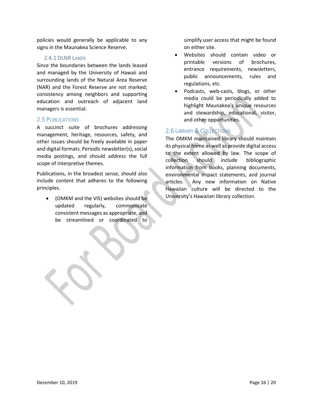policies would generally be applicable to any signs in the Maunakea Science Reserve.

#### <span id="page-15-0"></span>2.4.1 DI NR LANDS

Since the boundaries between the lands leased and managed by the University of Hawaii and surrounding lands of the Natural Area Reserve (NAR) and the Forest Reserve are not marked; consistency among neighbors and supporting education and outreach of adjacent land managers is essential.

#### <span id="page-15-1"></span>2.5 PUBLICATIONS

A succinct suite of brochures addressing management, heritage, resources, safety, and other issues should be freely available in paper and digital formats. Periodic newsletter(s), social media postings, and should address the full scope of interpretive themes.

Publications, in the broadest sense, should also include content that adheres to the following principles.

• (OMKM and the VIS) websites should be updated regularly, communicate consistent messages as appropriate, and be streamlined or coordinated to

j

simplify user access that might be found on either site.

- Websites should contain video or printable versions of brochures, entrance requirements, newsletters, public announcements, rules and regulations, etc.
- Podcasts, web-casts, blogs, or other media could be periodically added to highlight Maunakea's unique resources and stewardship, educational, visitor, and other opportunities.

# <span id="page-15-2"></span>2.6 LIBRARY & COLLECTIONS

The OMKM maintained library should maintain its physical home as well as provide digital access to the extent allowed by law. The scope of collection should include bibliographic information from books, planning documents, environmental impact statements, and journal articles. Any new information on Native Hawaiian culture will be directed to the University's Hawaiian library collection.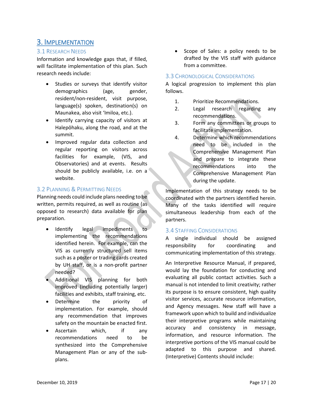# <span id="page-16-0"></span>3. IMPLEMENTATION

# <span id="page-16-1"></span>3.1 RESEARCH NEEDS

Information and knowledge gaps that, if filled, will facilitate implementation of this plan. Such research needs include:

- Studies or surveys that identify visitor demographics (age, gender, resident/non-resident, visit purpose, language(s) spoken, destination(s) on Maunakea, also visit ʻImiloa, etc.).
- Identify carrying capacity of visitors at Halepōhaku, along the road, and at the summit.
- Improved regular data collection and regular reporting on visitors across facilities for example, (VIS, and Observatories) and at events. Results should be publicly available, i.e. on a website.

## <span id="page-16-2"></span>3.2 PLANNING & PERMITTING NEEDS

Planning needs could include plans needing to be written, permits required, as well as routine (as opposed to research) data available for plan preparation.

- Identify legal impediments to implementing the recommendations identified herein. For example, can the VIS as currently structured sell items such as a poster or trading cards created by UH staff, or is a non-profit partner needed?
- Additional VIS planning for both improved (including potentially larger) facilities and exhibits, staff training, etc.
- Determine the priority of implementation. For example, should any recommendation that improves safety on the mountain be enacted first.
- Ascertain which, if any recommendations need to be synthesized into the Comprehensive Management Plan or any of the subplans.

• Scope of Sales: a policy needs to be drafted by the VIS staff with guidance from a committee.

#### <span id="page-16-3"></span>3.3 CHRONOLOGICAL CONSIDERATIONS

A logical progression to implement this plan follows.

- 1. Prioritize Recommendations.
- 2. Legal research regarding any recommendations.
- 3. Form any committees or groups to facilitate implementation.
- 4. Determine which recommendations need to be included in the Comprehensive Management Plan and prepare to integrate these recommendations into the Comprehensive Management Plan during the update.

Implementation of this strategy needs to be coordinated with the partners identified herein. Many of the tasks identified will require simultaneous leadership from each of the partners.

#### <span id="page-16-4"></span>3.4 STAFFING CONSIDERATIONS

A single individual should be assigned responsibility for coordinating and communicating implementation of this strategy.

An Interpretive Resource Manual, if prepared, would lay the foundation for conducting and evaluating all public contact activities. Such a manual is not intended to limit creativity; rather its purpose is to ensure consistent, high quality visitor services, accurate resource information, and Agency messages. New staff will have a framework upon which to build and individualize their interpretive programs while maintaining accuracy and consistency in message, information, and resource information. The interpretive portions of the VIS manual could be adapted to this purpose and shared. (Interpretive) Contents should include: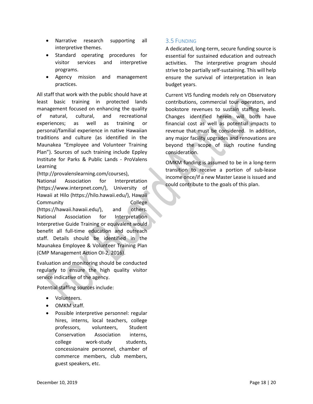- Narrative research supporting all interpretive themes.
- Standard operating procedures for visitor services and interpretive programs.
- Agency mission and management practices.

All staff that work with the public should have at least basic training in protected lands management focused on enhancing the quality of natural, cultural, and recreational experiences; as well as training or personal/familial experience in native Hawaiian traditions and culture (as identified in the Maunakea "Employee and Volunteer Training Plan"). Sources of such training include Eppley Institute for Parks & Public Lands - ProValens Learning

(http://provalenslearning.com/courses),

National Association for Interpretation (https://www.interpnet.com/), University of Hawaii at Hilo (https://hilo.hawaii.edu/), Hawaii Community College (https://hawaii.hawaii.edu/), and others. National Association for Interpretation Interpretive Guide Training or equivalent would benefit all full-time education and outreach staff. Details should be identified in the Maunakea Employee & Volunteer Training Plan (CMP Management Action OI-2, 2016).

Evaluation and monitoring should be conducted regularly to ensure the high quality visitor service indicative of the agency.

Potential staffing sources include:

- Volunteers.
- OMKM staff.
- Possible interpretive personnel: regular hires, interns, local teachers, college professors, volunteers, Student Conservation Association interns, college work-study students, concessionaire personnel, chamber of commerce members, club members, guest speakers, etc.

# <span id="page-17-0"></span>3.5 FUNDING

A dedicated, long-term, secure funding source is essential for sustained education and outreach activities. The interpretive program should strive to be partially self-sustaining. This will help ensure the survival of interpretation in lean budget years.

Current VIS funding models rely on Observatory contributions, commercial tour operators, and bookstore revenues to sustain staffing levels. Changes identified herein will both have financial cost as well as potential impacts to revenue that must be considered. In addition, any major facility upgrades and renovations are beyond the scope of such routine funding consideration.

OMKM funding is assumed to be in a long-term transition to receive a portion of sub-lease income once/if a new Master Lease is issued and could contribute to the goals of this plan.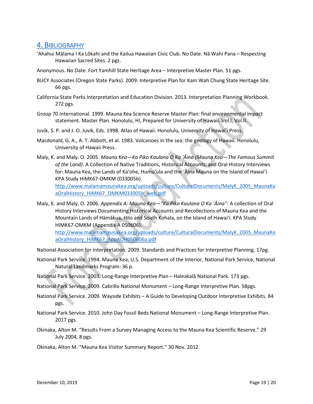# <span id="page-18-0"></span>4. BIBLIOGRAPHY

'Ahahui Mālama I Ka Lōkahi and the Kailua Hawaiian Civic Club. No Date. Nā Wahi Pana – Respecting Hawaiian Sacred Sites. 2 pgs.

Anonymous. No Date. Fort Yamhill State Heritage Area – Interpretive Master Plan. 51 pgs.

- BUCY Associates (Oregon State Parks). 2009. Interpretive Plan for Kam Wah Chung State Heritage Site. 66 pgs.
- California State Parks Interpretation and Education Division. 2013. Interpretation Planning Workbook. 272 pgs.
- Group 70 International. 1999. Mauna Kea Science Reserve Master Plan: final environmental impact statement. Master Plan. Honolulu, HI, Prepared for University of Hawaii. Vol.I, Vol.II.
- Juvik, S. P. and J. O. Juvik, Eds. 1998. Atlas of Hawaii. Honolulu, University of Hawai'i Press.
- Macdonald, G. A., A. T. Abbott, et al. 1983. Volcanoes in the sea: the geology of Hawaii. Honolulu, University of Hawaii Press.
- Maly, K. and Maly. O. 2005. *Mauna Kea—Ka Piko Kaulana O Ka ʻĀina (Mauna Kea—The Famous Summit of the Land)*: A Collection of Native Traditions, Historical Accounts, and Oral History Interviews for: Mauna Kea, the Lands of Kaʻohe, Humuʻula and the ʻĀina Mauna on the Island of Hawaiʻi. KPA Study HiMK67-OMKM (033005b).

[http://www.malamamaunakea.org/uploads/culture/CulturalDocuments/MalyK\\_2005\\_MaunaKe](http://www.malamamaunakea.org/uploads/culture/CulturalDocuments/MalyK_2005_MaunaKeaOralHistory_HiMK67_OMKM033005b_web.pdf) [aOralHistory\\_HiMK67\\_OMKM033005b\\_web.pdf](http://www.malamamaunakea.org/uploads/culture/CulturalDocuments/MalyK_2005_MaunaKeaOralHistory_HiMK67_OMKM033005b_web.pdf)

Maly, K. and Maly, O. 2006. *Appendix A: Mauna Kea—"Ka Piko Kaulana O Ka ʻĀina"*: A collection of Oral History Interviews Documenting Historical Accounts and Recollections of Mauna Kea and the Mountain Lands of Hāmākua, Hilo and South Kohala, on the Island of Hawaiʻi. KPA Study HiMK67-OMKM (Appendix A 050606). [http://www.malamamaunakea.org/uploads/culture/CulturalDocuments/MalyK\\_2005\\_MaunaKe](http://www.malamamaunakea.org/uploads/culture/CulturalDocuments/MalyK_2005_MaunaKeaOralHistory_HiMK67_AppAOH050606a.pdf) [aOralHistory\\_HiMK67\\_AppAOH050606a.pdf](http://www.malamamaunakea.org/uploads/culture/CulturalDocuments/MalyK_2005_MaunaKeaOralHistory_HiMK67_AppAOH050606a.pdf)

National Association for Interpretation. 2009. Standards and Practices for Interpretive Planning. 17pg.

- National Park Service. 1994. Mauna Kea, U.S. Department of the Interior, National Park Service, National Natural Landmarks Program: 36 p.
- National Park Service. 2003. Long-Range Interpretive Plan Haleakalā National Park. 173 pgs.

National Park Service. 2009. Cabrillo National Monument – Long-Range Interpretive Plan. 58pgs.

- National Park Service. 2009. Wayside Exhibits A Guide to Developing Outdoor Interpretive Exhibits. 84 pgs.
- National Park Service. 2010. John Day Fossil Beds National Monument Long-Range Interpretive Plan. 2017 pgs.
- Okinaka, Alton M. "Results From a Survey Managing Access to the Mauna Kea Scientific Reserve." 29 July 2004, 8 pgs.
- Okinaka, Alton M. "Mauna Kea Visitor Summary Report." 30 Nov. 2012.